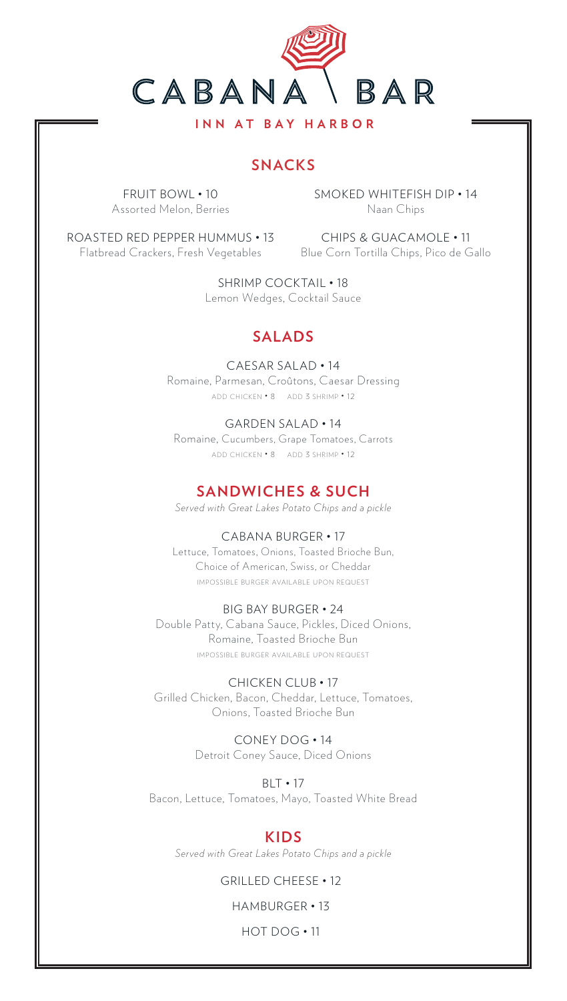

**SNACKS**

FRUIT BOWL • 10 Assorted Melon, Berries SMOKED WHITEFISH DIP • 14 Naan Chips

ROASTED RED PEPPER HUMMUS • 13 CHIPS & GUACAMOLE • 11 Flatbread Crackers, Fresh Vegetables Blue Corn Tortilla Chips, Pico de Gallo

SHRIMP COCKTAIL • 18 Lemon Wedges, Cocktail Sauce

# **SALADS**

CAESAR SALAD • 14 Romaine, Parmesan, Croûtons, Caesar Dressing add chicken • 8 add 3 shrimp • 12

GARDEN SALAD • 14 Romaine, Cucumbers, Grape Tomatoes, Carrots add chicken • 8 add 3 shrimp • 12

## **SANDWICHES & SUCH**

*Served with Great Lakes Potato Chips and a pickle*

## CABANA BURGER • 17

Lettuce, Tomatoes, Onions, Toasted Brioche Bun, Choice of American, Swiss, or Cheddar IMPOSSIBLE BURGER AVAILABLE UPON REQUEST

#### BIG BAY BURGER • 24

Double Patty, Cabana Sauce, Pickles, Diced Onions, Romaine, Toasted Brioche Bun IMPOSSIBLE BURGER AVAILABLE UPON REQUEST

CHICKEN CLUB • 17 Grilled Chicken, Bacon, Cheddar, Lettuce, Tomatoes, Onions, Toasted Brioche Bun

> CONEY DOG • 14 Detroit Coney Sauce, Diced Onions

BLT • 17 Bacon, Lettuce, Tomatoes, Mayo, Toasted White Bread

## **KIDS**

*Served with Great Lakes Potato Chips and a pickle*

### GRILLED CHEESE • 12

HAMBURGER • 13

HOT DOG • 11